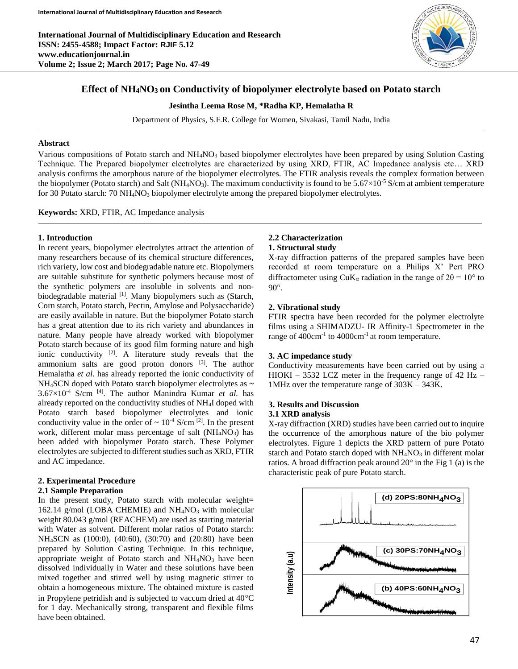

# **Effect of NH4NO<sup>3</sup> on Conductivity of biopolymer electrolyte based on Potato starch**

**Jesintha Leema Rose M, \*Radha KP, Hemalatha R**

Department of Physics, S.F.R. College for Women, Sivakasi, Tamil Nadu, India

#### **Abstract**

Various compositions of Potato starch and NH<sub>4</sub>NO<sub>3</sub> based biopolymer electrolytes have been prepared by using Solution Casting Technique. The Prepared biopolymer electrolytes are characterized by using XRD, FTIR, AC Impedance analysis etc… XRD analysis confirms the amorphous nature of the biopolymer electrolytes. The FTIR analysis reveals the complex formation between the biopolymer (Potato starch) and Salt ( $NH_4NO_3$ ). The maximum conductivity is found to be 5.67 $\times$ 10<sup>-5</sup> S/cm at ambient temperature for 30 Potato starch:  $70 \text{ NH}_4\text{NO}_3$  biopolymer electrolyte among the prepared biopolymer electrolytes.

**Keywords:** XRD, FTIR, AC Impedance analysis

#### **1. Introduction**

In recent years, biopolymer electrolytes attract the attention of many researchers because of its chemical structure differences, rich variety, low cost and biodegradable nature etc. Biopolymers are suitable substitute for synthetic polymers because most of the synthetic polymers are insoluble in solvents and nonbiodegradable material [1]. Many biopolymers such as (Starch, Corn starch, Potato starch, Pectin, Amylose and Polysaccharide) are easily available in nature. But the biopolymer Potato starch has a great attention due to its rich variety and abundances in nature. Many people have already worked with biopolymer Potato starch because of its good film forming nature and high ionic conductivity  $[2]$ . A literature study reveals that the ammonium salts are good proton donors  $[3]$ . The author Hemalatha *et al.* has already reported the ionic conductivity of NH4SCN doped with Potato starch biopolymer electrolytes as **~**   $3.67\times10^{-4}$  S/cm <sup>[4]</sup>. The author Manindra Kumar *et al.* has already reported on the conductivity studies of NH4I doped with Potato starch based biopolymer electrolytes and ionic conductivity value in the order of  $\sim 10^{-4}$  S/cm <sup>[2]</sup>. In the present work, different molar mass percentage of salt  $(NH_4NO_3)$  has been added with biopolymer Potato starch. These Polymer electrolytes are subjected to different studies such as XRD, FTIR and AC impedance.

## **2. Experimental Procedure**

#### **2.1 Sample Preparation**

In the present study, Potato starch with molecular weight= 162.14 g/mol (LOBA CHEMIE) and NH4NO<sup>3</sup> with molecular weight 80.043 g/mol (REACHEM) are used as starting material with Water as solvent. Different molar ratios of Potato starch: NH4SCN as (100:0), (40:60), (30:70) and (20:80) have been prepared by Solution Casting Technique. In this technique, appropriate weight of Potato starch and  $NH<sub>4</sub>NO<sub>3</sub>$  have been dissolved individually in Water and these solutions have been mixed together and stirred well by using magnetic stirrer to obtain a homogeneous mixture. The obtained mixture is casted in Propylene petridish and is subjected to vaccum dried at  $40^{\circ}$ C for 1 day. Mechanically strong, transparent and flexible films have been obtained.

#### **2.2 Characterization 1. Structural study**

X-ray diffraction patterns of the prepared samples have been recorded at room temperature on a Philips X' Pert PRO diffractometer using CuK<sub>α</sub> radiation in the range of  $2\theta = 10^{\circ}$  to  $90^\circ$ .

## **2. Vibrational study**

FTIR spectra have been recorded for the polymer electrolyte films using a SHIMADZU- IR Affinity-1 Spectrometer in the range of  $400 \text{cm}^{-1}$  to  $4000 \text{cm}^{-1}$  at room temperature.

#### **3. AC impedance study**

Conductivity measurements have been carried out by using a HIOKI – 3532 LCZ meter in the frequency range of  $42$  Hz – 1MHz over the temperature range of 303K – 343K.

# **3. Results and Discussion**

#### **3.1 XRD analysis**

X-ray diffraction (XRD) studies have been carried out to inquire the occurrence of the amorphous nature of the bio polymer electrolytes. Figure 1 depicts the XRD pattern of pure Potato starch and Potato starch doped with  $NH<sub>4</sub>NO<sub>3</sub>$  in different molar ratios. A broad diffraction peak around 20° in the Fig 1 (a) is the characteristic peak of pure Potato starch.

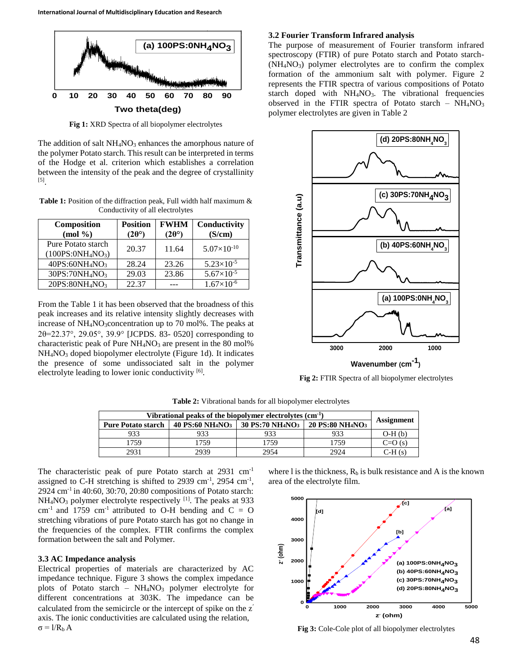

**Fig 1:** XRD Spectra of all biopolymer electrolytes

The addition of salt  $NH<sub>4</sub>NO<sub>3</sub>$  enhances the amorphous nature of the polymer Potato starch. This result can be interpreted in terms of the Hodge et al. criterion which establishes a correlation between the intensity of the peak and the degree of crystallinity [5] .

Table 1: Position of the diffraction peak, Full width half maximum & Conductivity of all electrolytes

| Composition<br>(mod 96)                                         | <b>Position</b><br>$(2\theta^{\circ})$ | <b>FWHM</b><br>$(2\theta^{\circ})$ | Conductivity<br>(S/cm) |
|-----------------------------------------------------------------|----------------------------------------|------------------------------------|------------------------|
| Pure Potato starch<br>(100PS:0NH <sub>4</sub> NO <sub>3</sub> ) | 20.37                                  | 11.64                              | $5.07\times10^{-10}$   |
| 40PS:60NH <sub>4</sub> NO <sub>3</sub>                          | 28.24                                  | 23.26                              | $5.23\times10^{-5}$    |
| 30PS:70NH <sub>4</sub> NO <sub>3</sub>                          | 29.03                                  | 23.86                              | $5.67\times10^{-5}$    |
| 20PS:80NH <sub>4</sub> NO <sub>3</sub>                          | 22.37                                  |                                    | $1.67\times10^{-6}$    |

From the Table 1 it has been observed that the broadness of this peak increases and its relative intensity slightly decreases with increase of  $NH_4NO_3$ concentration up to 70 mol%. The peaks at 2θ=22.37°, 29.05°, 39.9 [JCPDS. 83- 0520] corresponding to characteristic peak of Pure  $NH<sub>4</sub>NO<sub>3</sub>$  are present in the 80 mol% NH4NO<sup>3</sup> doped biopolymer electrolyte (Figure 1d). It indicates the presence of some undissociated salt in the polymer electrolyte leading to lower ionic conductivity [6].

#### **3.2 Fourier Transform Infrared analysis**

The purpose of measurement of Fourier transform infrared spectroscopy (FTIR) of pure Potato starch and Potato starch-  $(NH_4NO_3)$  polymer electrolytes are to confirm the complex formation of the ammonium salt with polymer. Figure 2 represents the FTIR spectra of various compositions of Potato starch doped with NH<sub>4</sub>NO<sub>3</sub>. The vibrational frequencies observed in the FTIR spectra of Potato starch –  $NH<sub>4</sub>NO<sub>3</sub>$ polymer electrolytes are given in Table 2



**Fig 2:** FTIR Spectra of all biopolymer electrolytes

| Vibrational peaks of the biopolymer electrolytes $(cm-1)$ |                                              |                                              |                                              |                   |
|-----------------------------------------------------------|----------------------------------------------|----------------------------------------------|----------------------------------------------|-------------------|
| <b>Pure Potato starch</b>                                 | <b>40 PS:60 NH<sub>4</sub>NO<sub>3</sub></b> | <b>30 PS:70 NH<sub>4</sub>NO<sub>3</sub></b> | <b>20 PS:80 NH<sub>4</sub>NO<sub>3</sub></b> | <b>Assignment</b> |
| 933                                                       | 933                                          | 933                                          | 933                                          | $O-H(b)$          |
| 759                                                       | 1759                                         | 1759                                         | 1759                                         | $C=O(s)$          |
| 2931                                                      | 2939                                         | 2954                                         | 2924                                         | $C-H(s)$          |

**Table 2:** Vibrational bands for all biopolymer electrolytes

The characteristic peak of pure Potato starch at 2931 cm<sup>-1</sup> assigned to C-H stretching is shifted to  $2939 \text{ cm}^{-1}$ ,  $2954 \text{ cm}^{-1}$ ,  $2924 \text{ cm}^{-1}$  in 40:60, 30:70, 20:80 compositions of Potato starch:  $NH<sub>4</sub>NO<sub>3</sub>$  polymer electrolyte respectively  $^{[1]}$ . The peaks at 933  $cm^{-1}$  and 1759 cm<sup>-1</sup> attributed to O-H bending and C = O stretching vibrations of pure Potato starch has got no change in the frequencies of the complex. FTIR confirms the complex formation between the salt and Polymer.

#### **3.3 AC Impedance analysis**

Electrical properties of materials are characterized by AC impedance technique. Figure 3 shows the complex impedance plots of Potato starch –  $NH<sub>4</sub>NO<sub>3</sub>$  polymer electrolyte for different concentrations at 303K. The impedance can be calculated from the semicircle or the intercept of spike on the z axis. The ionic conductivities are calculated using the relation,  $\sigma = 1/R_b A$ 

where l is the thickness,  $R_b$  is bulk resistance and A is the known area of the electrolyte film.



**Fig 3:** Cole-Cole plot of all biopolymer electrolytes